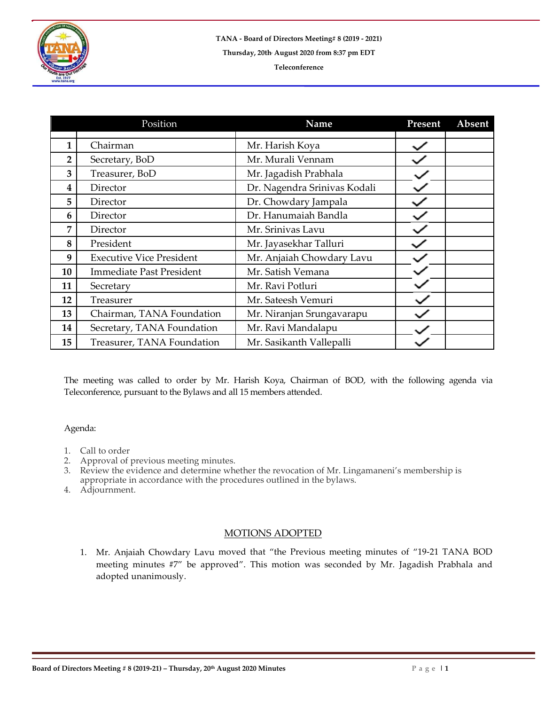

|                | Position                        | Name                         | Present | Absent |
|----------------|---------------------------------|------------------------------|---------|--------|
|                |                                 |                              |         |        |
| 1              | Chairman                        | Mr. Harish Koya              |         |        |
| $\overline{2}$ | Secretary, BoD                  | Mr. Murali Vennam            |         |        |
| 3              | Treasurer, BoD                  | Mr. Jagadish Prabhala        |         |        |
| 4              | Director                        | Dr. Nagendra Srinivas Kodali |         |        |
| 5              | Director                        | Dr. Chowdary Jampala         |         |        |
| 6              | Director                        | Dr. Hanumaiah Bandla         |         |        |
| 7              | Director                        | Mr. Srinivas Lavu            |         |        |
| 8              | President                       | Mr. Jayasekhar Talluri       |         |        |
| 9              | <b>Executive Vice President</b> | Mr. Anjaiah Chowdary Lavu    |         |        |
| 10             | <b>Immediate Past President</b> | Mr. Satish Vemana            |         |        |
| 11             | Secretary                       | Mr. Ravi Potluri             |         |        |
| 12             | Treasurer                       | Mr. Sateesh Vemuri           |         |        |
| 13             | Chairman, TANA Foundation       | Mr. Niranjan Srungavarapu    |         |        |
| 14             | Secretary, TANA Foundation      | Mr. Ravi Mandalapu           |         |        |
| 15             | Treasurer, TANA Foundation      | Mr. Sasikanth Vallepalli     |         |        |

The meeting was called to order by Mr. Harish Koya, Chairman of BOD, with the following agenda via Teleconference, pursuant to the Bylaws and all 15 members attended.

## Agenda:

- 1. Call to order<br>2. Approval of
- Approval of previous meeting minutes.
- 3. Review the evidence and determine whether the revocation of Mr. Lingamaneni's membership is appropriate in accordance with the procedures outlined in the bylaws.
- 4. Adjournment.

## MOTIONS ADOPTED

1. Mr. Anjaiah Chowdary Lavu moved that "the Previous meeting minutes of "19-21 TANA BOD meeting minutes #7" be approved". This motion was seconded by Mr. Jagadish Prabhala and adopted unanimously.